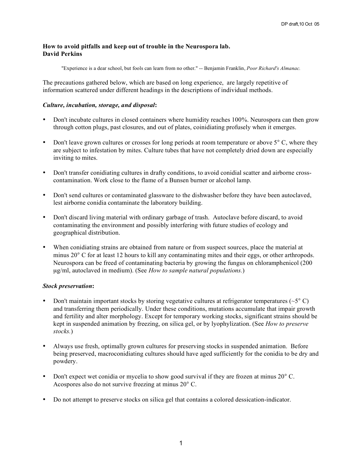### **How to avoid pitfalls and keep out of trouble in the Neurospora lab. David Perkins**

"Experience is a dear school, but fools can learn from no other." -- Benjamin Franklin, *Poor Richard's Almanac.*

The precautions gathered below, which are based on long experience, are largely repetitive of information scattered under different headings in the descriptions of individual methods.

### *Culture, incubation, storage, and disposal***:**

- Don't incubate cultures in closed containers where humidity reaches 100%. Neurospora can then grow through cotton plugs, past closures, and out of plates, coinidiating profusely when it emerges.
- Don't leave grown cultures or crosses for long periods at room temperature or above 5° C, where they are subject to infestation by mites. Culture tubes that have not completely dried down are especially inviting to mites.
- Don't transfer conidiating cultures in drafty conditions, to avoid conidial scatter and airborne crosscontamination. Work close to the flame of a Bunsen burner or alcohol lamp.
- Don't send cultures or contaminated glassware to the dishwasher before they have been autoclaved, lest airborne conidia contaminate the laboratory building.
- Don't discard living material with ordinary garbage of trash. Autoclave before discard, to avoid contaminating the environment and possibly interfering with future studies of ecology and geographical distribution.
- When conidiating strains are obtained from nature or from suspect sources, place the material at minus 20° C for at least 12 hours to kill any contaminating mites and their eggs, or other arthropods. Neurospora can be freed of contaminating bacteria by growing the fungus on chloramphenicol (200 µg/ml, autoclaved in medium). (See *How to sample natural populations.*)

## *Stock preservation***:**

- Don't maintain important stocks by storing vegetative cultures at refrigerator temperatures ( $\sim$ 5 $\degree$ C) and transferring them periodically. Under these conditions, mutations accumulate that impair growth and fertility and alter morphology. Except for temporary working stocks, significant strains should be kept in suspended animation by freezing, on silica gel, or by lyophylization. (See *How to preserve stocks.*)
- Always use fresh, optimally grown cultures for preserving stocks in suspended animation. Before being preserved, macroconidiating cultures should have aged sufficiently for the conidia to be dry and powdery.
- Don't expect wet conidia or mycelia to show good survival if they are frozen at minus 20° C. Acospores also do not survive freezing at minus 20° C.
- Do not attempt to preserve stocks on silica gel that contains a colored dessication-indicator.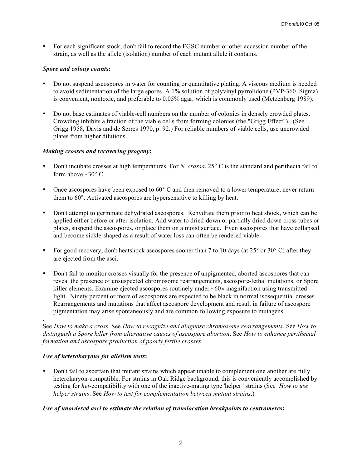• For each significant stock, don't fail to record the FGSC number or other accession number of the strain, as well as the allele (isolation) number of each mutant allele it contains.

# *Spore and colony counts***:**

- Do not suspend ascospores in water for counting or quantitative plating. A viscous medium is needed to avoid sedimentation of the large spores. A 1% solution of polyvinyl pyrrolidone (PVP-360, Sigma) is convenient, nontoxic, and preferable to 0.05% agar, which is commonly used (Metzenberg 1989).
- Do not base estimates of viable-cell numbers on the number of colonies in densely crowded plates. Crowding inhibits a fraction of the viable cells from forming colonies (the "Grigg Effect"). (See Grigg 1958, Davis and de Serres 1970, p. 92.) For reliable numbers of viable cells, use uncrowded plates from higher dilutions.

# *Making crosses and recovering progeny***:**

- Don't incubate crosses at high temperatures. For *N. crassa*, 25° C is the standard and perithecia fail to form above  $\sim 30^{\circ}$  C.
- Once ascospores have been exposed to  $60^{\circ}$  C and then removed to a lower temperature, never return them to 60°. Activated ascospores are hypersensitive to killing by heat.
- Don't attempt to germinate dehydrated ascospores. Rehydrate them prior to heat shock, which can be applied either before or after isolation. Add water to dried-down or partially dried down cross tubes or plates, suspend the ascospores, or place them on a moist surface. Even ascospores that have collapsed and become sickle-shaped as a result of water loss can often be rendered viable.
- For good recovery, don't heatshock ascospores sooner than 7 to 10 days (at 25° or 30° C) after they are ejected from the asci.
- Don't fail to monitor crosses visually for the presence of unpigmented, aborted ascospores that can reveal the presence of unsuspected chromosome rearrangements, ascospore-lethal mutations, or Spore killer elements. Examine ejected ascospores routinely under  $\sim 60 \times$  magnifaction using transmitted light. Ninety percent or more of ascospores are expected to be black in normal isosequential crosses. Rearrangements and mutations that affect ascospore development and result in failure of ascospore pigmentation may arise spontaneously and are common following exposure to mutagens.

See *How to make a cross*. See *How to recognize and diagnose chromosome rearrangements*. See *How to distinguish a Spore killer from alternative causes of ascospore abortion*. See *How to enhance perithecial formation and ascospore production of poorly fertile crosses*.

## *Use of heterokaryons for allelism tests***:**

.

• Don't fail to ascertain that mutant strains which appear unable to complement one another are fully heterokaryon-compatible. For strains in Oak Ridge background, this is conveniently accomplished by testing for *het*-compatibility with one of the inactive-mating type 'helper" strains (See *How to use helper strains*. See *How to test for complementation between mutant strains*.)

## *Use of unordered asci to estimate the relation of translocation breakpoints to centromeres***:**